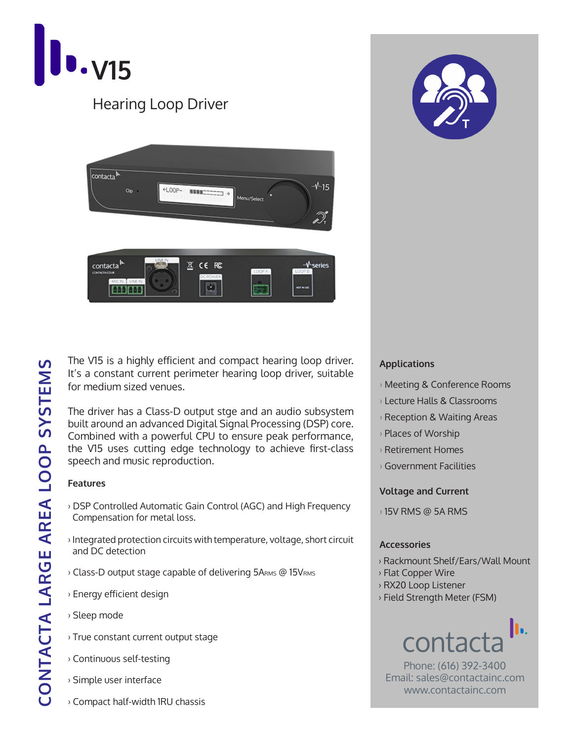

## Hearing Loop Driver





The V15 is a highly efficient and compact hearing loop driver. It's a constant current perimeter hearing loop driver, suitable for medium sized venues.

The driver has a Class-D output stge and an audio subsystem built around an advanced Digital Signal Processing (DSP) core. Combined with a powerful CPU to ensure peak performance, the V15 uses cutting edge technology to achieve first-class speech and music reproduction.

### **Features**

- › DSP Controlled Automatic Gain Control (AGC) and High Frequency Compensation for metal loss.
- › Integrated protection circuits with temperature, voltage, short circuit and DC detection
- › Class-D output stage capable of delivering 5ARMS @ 15VRMS
- › Energy efficient design
- › Sleep mode
- › True constant current output stage
- › Continuous self-testing
- › Simple user interface
- › Compact half-width 1RU chassis

### **Applications**

- › Meeting & Conference Rooms
- › Lecture Halls & Classrooms
- › Reception & Waiting Areas
- › Places of Worship
- › Retirement Homes
- › Government Facilities

### **Voltage and Current**

› 15V RMS @ 5A RMS

### **Accessories**

- › Rackmount Shelf/Ears/Wall Mount
- › Flat Copper Wire
- › RX20 Loop Listener
- › Field Strength Meter (FSM)

## h.

Phone: (616) 392-3400 Email: sales@contactainc.com www.contactainc.com